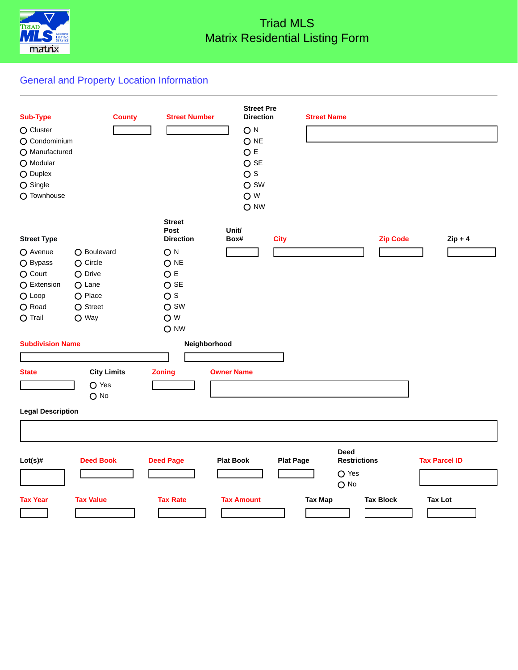

# Triad MLS Matrix Residential Listing Form

# General and Property Location Information

| <b>Sub-Type</b>          | <b>County</b>      | <b>Street Number</b>  | <b>Street Pre</b><br><b>Direction</b> |                  | <b>Street Name</b> |                     |                  |                      |  |
|--------------------------|--------------------|-----------------------|---------------------------------------|------------------|--------------------|---------------------|------------------|----------------------|--|
| O Cluster                |                    |                       | ON                                    |                  |                    |                     |                  |                      |  |
| O Condominium            |                    |                       | O <sub>NE</sub>                       |                  |                    |                     |                  |                      |  |
| O Manufactured           |                    |                       | O E                                   |                  |                    |                     |                  |                      |  |
| O Modular                |                    |                       | $O$ SE                                |                  |                    |                     |                  |                      |  |
| O Duplex                 |                    |                       | $\overline{O}$ s                      |                  |                    |                     |                  |                      |  |
| $O$ Single               |                    |                       | O SW                                  |                  |                    |                     |                  |                      |  |
| O Townhouse              |                    |                       | O W                                   |                  |                    |                     |                  |                      |  |
|                          |                    |                       | O NW                                  |                  |                    |                     |                  |                      |  |
|                          |                    | <b>Street</b><br>Post | Unit/                                 |                  |                    |                     |                  |                      |  |
| <b>Street Type</b>       |                    | <b>Direction</b>      | Box#                                  | <b>City</b>      |                    |                     | <b>Zip Code</b>  | $Zip + 4$            |  |
| O Avenue                 | O Boulevard        | O <sub>N</sub>        |                                       |                  |                    |                     |                  |                      |  |
| O Bypass                 | $O$ Circle         | O NE                  |                                       |                  |                    |                     |                  |                      |  |
| O Court                  | O Drive            | O E                   |                                       |                  |                    |                     |                  |                      |  |
| O Extension              | O Lane             | $O$ SE                |                                       |                  |                    |                     |                  |                      |  |
| $O$ Loop                 | O Place            | $\overline{O}$ s      |                                       |                  |                    |                     |                  |                      |  |
| O Road                   | $O$ Street         | O SW                  |                                       |                  |                    |                     |                  |                      |  |
| $O$ Trail                | O Way              | O W                   |                                       |                  |                    |                     |                  |                      |  |
|                          |                    | O NW                  |                                       |                  |                    |                     |                  |                      |  |
| <b>Subdivision Name</b>  |                    |                       | Neighborhood                          |                  |                    |                     |                  |                      |  |
|                          |                    |                       |                                       |                  |                    |                     |                  |                      |  |
| <b>State</b>             | <b>City Limits</b> | <b>Zoning</b>         | <b>Owner Name</b>                     |                  |                    |                     |                  |                      |  |
|                          | $O$ Yes            |                       |                                       |                  |                    |                     |                  |                      |  |
|                          | $O$ No             |                       |                                       |                  |                    |                     |                  |                      |  |
| <b>Legal Description</b> |                    |                       |                                       |                  |                    |                     |                  |                      |  |
|                          |                    |                       |                                       |                  |                    |                     |                  |                      |  |
|                          |                    |                       |                                       |                  |                    |                     |                  |                      |  |
|                          |                    |                       |                                       |                  |                    | <b>Deed</b>         |                  |                      |  |
| $Lot(s)$ #               | <b>Deed Book</b>   | <b>Deed Page</b>      | <b>Plat Book</b>                      | <b>Plat Page</b> |                    | <b>Restrictions</b> |                  | <b>Tax Parcel ID</b> |  |
|                          |                    |                       |                                       |                  |                    | $O$ Yes<br>$O$ No   |                  |                      |  |
|                          |                    |                       |                                       |                  |                    |                     |                  |                      |  |
| <b>Tax Year</b>          | <b>Tax Value</b>   | <b>Tax Rate</b>       | <b>Tax Amount</b>                     |                  | <b>Tax Map</b>     |                     | <b>Tax Block</b> | <b>Tax Lot</b>       |  |
|                          |                    |                       |                                       |                  |                    |                     |                  |                      |  |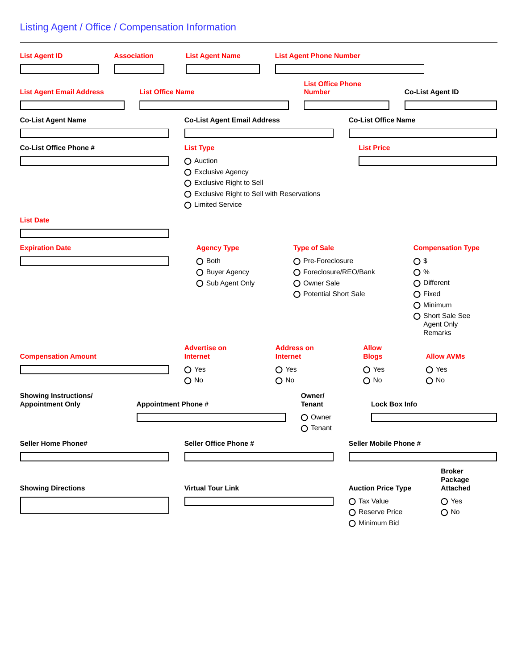# Listing Agent / Office / Compensation Information

| <b>List Agent ID</b>                                    | <b>Association</b>         | <b>List Agent Name</b>                                                                                                           | <b>List Agent Phone Number</b>            |                                  |                                                        |
|---------------------------------------------------------|----------------------------|----------------------------------------------------------------------------------------------------------------------------------|-------------------------------------------|----------------------------------|--------------------------------------------------------|
| <b>List Agent Email Address</b>                         | <b>List Office Name</b>    |                                                                                                                                  | <b>List Office Phone</b><br><b>Number</b> |                                  | <b>Co-List Agent ID</b>                                |
| <b>Co-List Agent Name</b>                               |                            | <b>Co-List Agent Email Address</b>                                                                                               |                                           | <b>Co-List Office Name</b>       |                                                        |
|                                                         |                            |                                                                                                                                  |                                           |                                  |                                                        |
| Co-List Office Phone #                                  |                            |                                                                                                                                  |                                           | <b>List Price</b>                |                                                        |
|                                                         |                            | <b>List Type</b>                                                                                                                 |                                           |                                  |                                                        |
|                                                         |                            | O Auction<br>O Exclusive Agency<br>○ Exclusive Right to Sell<br>O Exclusive Right to Sell with Reservations<br>O Limited Service |                                           |                                  |                                                        |
| <b>List Date</b>                                        |                            |                                                                                                                                  |                                           |                                  |                                                        |
|                                                         |                            |                                                                                                                                  |                                           |                                  |                                                        |
| <b>Expiration Date</b>                                  |                            | <b>Agency Type</b>                                                                                                               | <b>Type of Sale</b>                       |                                  | <b>Compensation Type</b>                               |
|                                                         |                            | O Both                                                                                                                           | O Pre-Foreclosure                         |                                  | O <sub>3</sub>                                         |
|                                                         |                            | O Buyer Agency                                                                                                                   | ○ Foreclosure/REO/Bank                    |                                  | O %                                                    |
|                                                         |                            | ○ Sub Agent Only                                                                                                                 | O Owner Sale                              |                                  | O Different                                            |
|                                                         |                            |                                                                                                                                  | O Potential Short Sale                    |                                  | $O$ Fixed                                              |
|                                                         |                            |                                                                                                                                  |                                           |                                  | O Minimum<br>○ Short Sale See<br>Agent Only<br>Remarks |
| <b>Compensation Amount</b>                              |                            | <b>Advertise on</b><br><b>Internet</b>                                                                                           | <b>Address on</b><br><b>Internet</b>      | <b>Allow</b><br><b>Blogs</b>     | <b>Allow AVMs</b>                                      |
|                                                         |                            | O Yes                                                                                                                            | $\bigcirc$ Yes                            | $O$ Yes                          | $O$ Yes                                                |
|                                                         |                            | $O$ No                                                                                                                           | $O$ No                                    | $O$ No                           | $O$ No                                                 |
| <b>Showing Instructions/</b><br><b>Appointment Only</b> | <b>Appointment Phone #</b> |                                                                                                                                  | Owner/<br><b>Tenant</b>                   | <b>Lock Box Info</b>             |                                                        |
|                                                         |                            |                                                                                                                                  | O Owner<br>O Tenant                       |                                  |                                                        |
| <b>Seller Home Phone#</b>                               |                            | Seller Office Phone #                                                                                                            |                                           | Seller Mobile Phone #            |                                                        |
|                                                         |                            |                                                                                                                                  |                                           |                                  |                                                        |
| <b>Showing Directions</b>                               |                            | <b>Virtual Tour Link</b>                                                                                                         |                                           | <b>Auction Price Type</b>        | <b>Broker</b><br>Package<br><b>Attached</b>            |
|                                                         |                            |                                                                                                                                  |                                           | ○ Tax Value                      | $O$ Yes                                                |
|                                                         |                            |                                                                                                                                  |                                           | O Reserve Price<br>O Minimum Bid | $O$ No                                                 |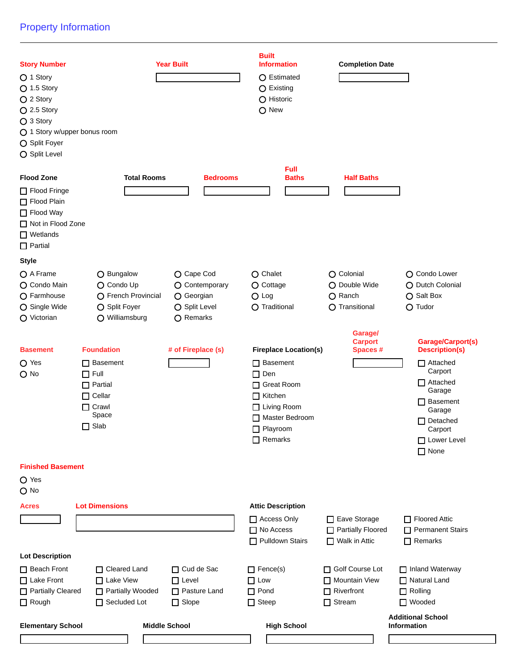## Property Information

| <b>Story Number</b><br>◯ 1 Story<br>$O$ 1.5 Story<br>$O$ 2 Story<br>$O$ 2.5 Story<br>$O$ 3 Story<br>O 1 Story w/upper bonus room<br>O Split Foyer<br>O Split Level |                                                                                                           | <b>Year Built</b>                                                        | <b>Built</b><br><b>Information</b><br>○ Estimated<br>O Existing<br>O Historic<br>O New                                                  | <b>Completion Date</b>                                                 |                                                                                                                                             |
|--------------------------------------------------------------------------------------------------------------------------------------------------------------------|-----------------------------------------------------------------------------------------------------------|--------------------------------------------------------------------------|-----------------------------------------------------------------------------------------------------------------------------------------|------------------------------------------------------------------------|---------------------------------------------------------------------------------------------------------------------------------------------|
|                                                                                                                                                                    |                                                                                                           |                                                                          | <b>Full</b>                                                                                                                             |                                                                        |                                                                                                                                             |
| <b>Flood Zone</b><br>□ Flood Fringe<br>Flood Plain<br>□ Flood Way<br>Not in Flood Zone<br>$\Box$ Wetlands<br>$\Box$ Partial                                        | <b>Total Rooms</b>                                                                                        | <b>Bedrooms</b>                                                          | <b>Baths</b>                                                                                                                            | <b>Half Baths</b>                                                      |                                                                                                                                             |
| <b>Style</b>                                                                                                                                                       |                                                                                                           |                                                                          |                                                                                                                                         |                                                                        |                                                                                                                                             |
| ○ A Frame<br>O Condo Main<br>O Farmhouse<br>O Single Wide<br>O Victorian                                                                                           | O Bungalow<br>O Condo Up<br>O French Provincial<br>O Split Foyer<br>O Williamsburg                        | O Cape Cod<br>O Contemporary<br>O Georgian<br>O Split Level<br>○ Remarks | O Chalet<br>O Cottage<br>$O$ Log<br>O Traditional                                                                                       | O Colonial<br>O Double Wide<br>O Ranch<br>O Transitional               | O Condo Lower<br>O Dutch Colonial<br>○ Salt Box<br>$O$ Tudor                                                                                |
|                                                                                                                                                                    |                                                                                                           |                                                                          |                                                                                                                                         | Garage/                                                                |                                                                                                                                             |
| <b>Basement</b>                                                                                                                                                    | <b>Foundation</b>                                                                                         | # of Fireplace (s)                                                       | <b>Fireplace Location(s)</b>                                                                                                            | <b>Carport</b><br>Spaces#                                              | Garage/Carport(s)<br><b>Description(s)</b>                                                                                                  |
| O Yes<br>$O$ No                                                                                                                                                    | $\Box$ Basement<br>$\Box$ Full<br>$\Box$ Partial<br>$\Box$ Cellar<br>$\Box$ Crawl<br>Space<br>$\Box$ Slab |                                                                          | $\Box$ Basement<br>$\Box$ Den<br>□ Great Room<br>$\Box$ Kitchen<br>□ Living Room<br>Master Bedroom<br>$\Box$ Playroom<br>$\Box$ Remarks |                                                                        | $\Box$ Attached<br>Carport<br>$\Box$ Attached<br>Garage<br>$\Box$ Basement<br>Garage<br>Detached<br>Carport<br>□ Lower Level<br>$\Box$ None |
| <b>Finished Basement</b>                                                                                                                                           |                                                                                                           |                                                                          |                                                                                                                                         |                                                                        |                                                                                                                                             |
| $O$ Yes<br>$O$ No                                                                                                                                                  |                                                                                                           |                                                                          |                                                                                                                                         |                                                                        |                                                                                                                                             |
| <b>Acres</b>                                                                                                                                                       | <b>Lot Dimensions</b>                                                                                     |                                                                          | <b>Attic Description</b>                                                                                                                |                                                                        |                                                                                                                                             |
|                                                                                                                                                                    |                                                                                                           |                                                                          | Access Only<br>□ No Access<br>Pulldown Stairs                                                                                           | Eave Storage<br>Partially Floored<br>□ Walk in Attic                   | Floored Attic<br>Permanent Stairs<br>$\Box$ Remarks                                                                                         |
| <b>Lot Description</b>                                                                                                                                             |                                                                                                           |                                                                          |                                                                                                                                         |                                                                        |                                                                                                                                             |
| Beach Front<br>□ Lake Front<br>Partially Cleared<br>$\Box$ Rough                                                                                                   | □ Cleared Land<br>$\Box$ Lake View<br>Partially Wooded<br>Secluded Lot                                    | □ Cud de Sac<br>$\Box$ Level<br>Pasture Land<br>$\Box$ Slope             | $\Box$ Fence(s)<br>$\Box$ Low<br>$\Box$ Pond<br>$\Box$ Steep                                                                            | Golf Course Lot<br>Mountain View<br>$\Box$ Riverfront<br>$\Box$ Stream | Inland Waterway<br>□ Natural Land<br>$\Box$ Rolling<br>□ Wooded                                                                             |
| <b>Elementary School</b>                                                                                                                                           |                                                                                                           | <b>Middle School</b>                                                     | <b>High School</b>                                                                                                                      |                                                                        | <b>Additional School</b><br>Information                                                                                                     |
|                                                                                                                                                                    |                                                                                                           |                                                                          |                                                                                                                                         |                                                                        |                                                                                                                                             |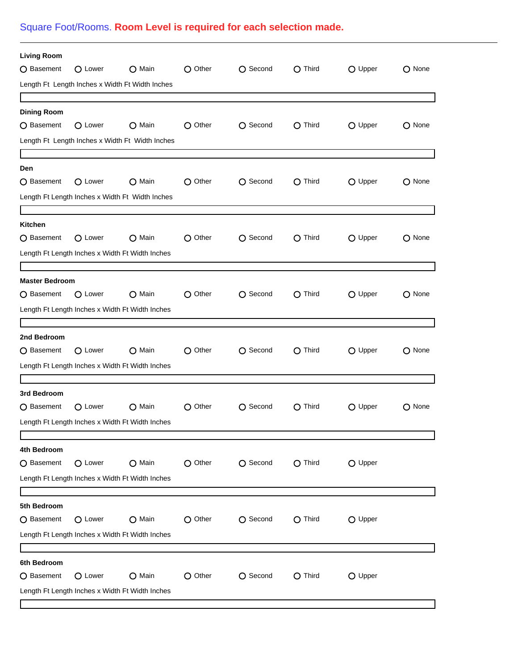# Square Foot/Rooms. **Room Level is required for each selection made.**

| <b>Living Room</b>    |         |                                                 |                  |                  |                  |                  |        |
|-----------------------|---------|-------------------------------------------------|------------------|------------------|------------------|------------------|--------|
| O Basement            | O Lower | O Main                                          | O Other          | ○ Second         | $\bigcirc$ Third | O Upper          | O None |
|                       |         | Length Ft Length Inches x Width Ft Width Inches |                  |                  |                  |                  |        |
|                       |         |                                                 |                  |                  |                  |                  |        |
| <b>Dining Room</b>    |         |                                                 |                  |                  |                  |                  |        |
| ○ Basement            | O Lower | ◯ Main                                          | $\bigcirc$ Other | ○ Second         | $\bigcirc$ Third | O Upper          | O None |
|                       |         | Length Ft Length Inches x Width Ft Width Inches |                  |                  |                  |                  |        |
|                       |         |                                                 |                  |                  |                  |                  |        |
| Den                   |         |                                                 |                  |                  |                  |                  |        |
| O Basement            | O Lower | O Main                                          | O Other          | ○ Second         | $\bigcirc$ Third | O Upper          | O None |
|                       |         | Length Ft Length Inches x Width Ft Width Inches |                  |                  |                  |                  |        |
|                       |         |                                                 |                  |                  |                  |                  |        |
| Kitchen<br>○ Basement | ○ Lower | O Main                                          | $\bigcirc$ Other | $\bigcap$ Second | $\bigcirc$ Third | O Upper          | O None |
|                       |         |                                                 |                  |                  |                  |                  |        |
|                       |         | Length Ft Length Inches x Width Ft Width Inches |                  |                  |                  |                  |        |
| <b>Master Bedroom</b> |         |                                                 |                  |                  |                  |                  |        |
| O Basement            | O Lower | O Main                                          | O Other          | ○ Second         | $\bigcirc$ Third | O Upper          | O None |
|                       |         | Length Ft Length Inches x Width Ft Width Inches |                  |                  |                  |                  |        |
|                       |         |                                                 |                  |                  |                  |                  |        |
| 2nd Bedroom           |         |                                                 |                  |                  |                  |                  |        |
| ○ Basement            | O Lower | O Main                                          | O Other          | ○ Second         | $\bigcirc$ Third | $\bigcirc$ Upper | O None |
|                       |         | Length Ft Length Inches x Width Ft Width Inches |                  |                  |                  |                  |        |
|                       |         |                                                 |                  |                  |                  |                  |        |
| 3rd Bedroom           |         |                                                 |                  |                  |                  |                  |        |
| O Basement            | O Lower | $\bigcirc$ Main                                 | $\bigcap$ Other  | O Second         | O Third          | O Upper          | O None |
|                       |         | Length Ft Length Inches x Width Ft Width Inches |                  |                  |                  |                  |        |
|                       |         |                                                 |                  |                  |                  |                  |        |
| 4th Bedroom           |         |                                                 |                  |                  |                  |                  |        |
| O Basement            | O Lower | O Main                                          | O Other          | O Second         | O Third          | O Upper          |        |
|                       |         | Length Ft Length Inches x Width Ft Width Inches |                  |                  |                  |                  |        |
| 5th Bedroom           |         |                                                 |                  |                  |                  |                  |        |
| ○ Basement            | O Lower | O Main                                          | $\bigcirc$ Other | ○ Second         | $\bigcirc$ Third | O Upper          |        |
|                       |         | Length Ft Length Inches x Width Ft Width Inches |                  |                  |                  |                  |        |
|                       |         |                                                 |                  |                  |                  |                  |        |
| 6th Bedroom           |         |                                                 |                  |                  |                  |                  |        |
| ○ Basement            | O Lower | ○ Main                                          | O Other          | ○ Second         | $\bigcirc$ Third | O Upper          |        |
|                       |         | Length Ft Length Inches x Width Ft Width Inches |                  |                  |                  |                  |        |
|                       |         |                                                 |                  |                  |                  |                  |        |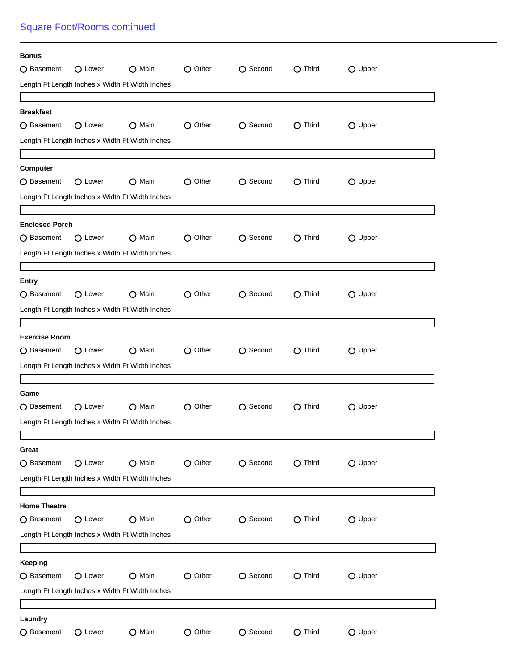## Square Foot/Rooms continued

| <b>Bonus</b>          |                 |                                                 |                  |                  |                  |         |  |
|-----------------------|-----------------|-------------------------------------------------|------------------|------------------|------------------|---------|--|
| O Basement            | O Lower         | O Main                                          | O Other          | O Second         | O Third          | O Upper |  |
|                       |                 | Length Ft Length Inches x Width Ft Width Inches |                  |                  |                  |         |  |
|                       |                 |                                                 |                  |                  |                  |         |  |
| <b>Breakfast</b>      |                 |                                                 |                  |                  |                  |         |  |
| O Basement            | O Lower         | $\bigcirc$ Main                                 | O Other          | O Second         | $\bigcirc$ Third | O Upper |  |
|                       |                 | Length Ft Length Inches x Width Ft Width Inches |                  |                  |                  |         |  |
|                       |                 |                                                 |                  |                  |                  |         |  |
| Computer              |                 |                                                 |                  |                  |                  |         |  |
| O Basement            | O Lower         | $\bigcirc$ Main                                 | O Other          | O Second         | O Third          | O Upper |  |
|                       |                 | Length Ft Length Inches x Width Ft Width Inches |                  |                  |                  |         |  |
|                       |                 |                                                 |                  |                  |                  |         |  |
| <b>Enclosed Porch</b> |                 |                                                 |                  |                  |                  |         |  |
| ○ Basement            | O Lower         | $\Omega$ Main                                   | $\bigcirc$ Other | $\bigcap$ Second | O Third          | O Upper |  |
|                       |                 | Length Ft Length Inches x Width Ft Width Inches |                  |                  |                  |         |  |
|                       |                 |                                                 |                  |                  |                  |         |  |
| <b>Entry</b>          |                 |                                                 |                  |                  |                  |         |  |
| O Basement            | O Lower         | $\bigcirc$ Main                                 | O Other          | O Second         | $\bigcirc$ Third | O Upper |  |
|                       |                 | Length Ft Length Inches x Width Ft Width Inches |                  |                  |                  |         |  |
|                       |                 |                                                 |                  |                  |                  |         |  |
| <b>Exercise Room</b>  |                 |                                                 |                  |                  |                  |         |  |
| ○ Basement            | O Lower         | O Main                                          | O Other          | $\bigcap$ Second | O Third          | O Upper |  |
|                       |                 | Length Ft Length Inches x Width Ft Width Inches |                  |                  |                  |         |  |
|                       |                 |                                                 |                  |                  |                  |         |  |
| Game                  |                 |                                                 |                  |                  |                  |         |  |
| O Basement            | O Lower         | O Main                                          | O Other          | O Second         | $\bigcirc$ Third | O Upper |  |
|                       |                 | Length Ft Length Inches x Width Ft Width Inches |                  |                  |                  |         |  |
|                       |                 |                                                 |                  |                  |                  |         |  |
| Great                 |                 |                                                 |                  |                  |                  |         |  |
| ○ Basement            | O Lower         | O Main                                          | O Other          | O Second         | $\bigcirc$ Third | O Upper |  |
|                       |                 | Length Ft Length Inches x Width Ft Width Inches |                  |                  |                  |         |  |
|                       |                 |                                                 |                  |                  |                  |         |  |
| <b>Home Theatre</b>   |                 |                                                 |                  |                  |                  |         |  |
| ○ Basement            | $\bigcap$ Lower | $\bigcirc$ Main                                 | $\bigcirc$ Other | ○ Second         | $\bigcirc$ Third | O Upper |  |
|                       |                 | Length Ft Length Inches x Width Ft Width Inches |                  |                  |                  |         |  |
|                       |                 |                                                 |                  |                  |                  |         |  |
| <b>Keeping</b>        |                 |                                                 |                  |                  |                  |         |  |
| ○ Basement            | O Lower         | O Main                                          | $\bigcirc$ Other | O Second         | $\bigcirc$ Third | O Upper |  |
|                       |                 | Length Ft Length Inches x Width Ft Width Inches |                  |                  |                  |         |  |
|                       |                 |                                                 |                  |                  |                  |         |  |
| Laundry               |                 |                                                 |                  |                  |                  |         |  |
| ○ Basement            | O Lower         | O Main                                          | O Other          | ○ Second         | $\bigcirc$ Third | O Upper |  |
|                       |                 |                                                 |                  |                  |                  |         |  |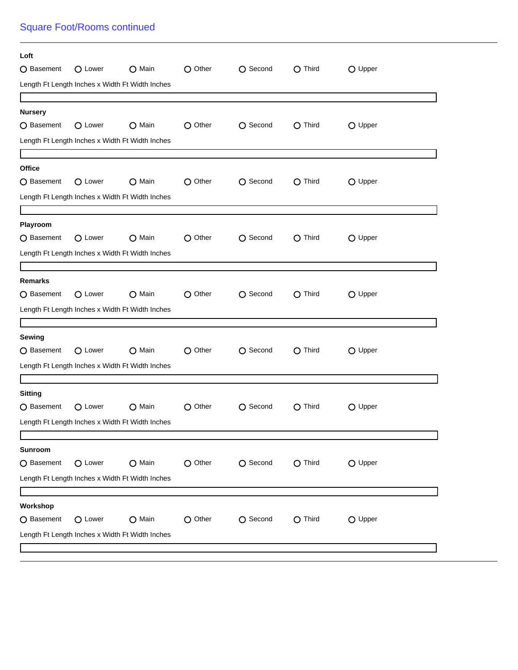## Square Foot/Rooms continued

| Loft           |         |                                                 |                  |          |                  |         |  |
|----------------|---------|-------------------------------------------------|------------------|----------|------------------|---------|--|
| ○ Basement     | O Lower | O Main                                          | O Other          | O Second | O Third          | O Upper |  |
|                |         | Length Ft Length Inches x Width Ft Width Inches |                  |          |                  |         |  |
| <b>Nursery</b> |         |                                                 |                  |          |                  |         |  |
| O Basement     | O Lower | $\bigcirc$ Main                                 | $\bigcirc$ Other | ○ Second | O Third          | O Upper |  |
|                |         | Length Ft Length Inches x Width Ft Width Inches |                  |          |                  |         |  |
|                |         |                                                 |                  |          |                  |         |  |
| Office         |         |                                                 |                  |          |                  |         |  |
| O Basement     | O Lower | O Main                                          | O Other          | ○ Second | O Third          | O Upper |  |
|                |         | Length Ft Length Inches x Width Ft Width Inches |                  |          |                  |         |  |
|                |         |                                                 |                  |          |                  |         |  |
| Playroom       |         |                                                 |                  |          |                  |         |  |
| ○ Basement     | O Lower | O Main                                          | O Other          | O Second | $\bigcirc$ Third | O Upper |  |
|                |         | Length Ft Length Inches x Width Ft Width Inches |                  |          |                  |         |  |
| <b>Remarks</b> |         |                                                 |                  |          |                  |         |  |
| O Basement     | O Lower | O Main                                          | $\bigcirc$ Other | ○ Second | $\bigcirc$ Third | O Upper |  |
|                |         | Length Ft Length Inches x Width Ft Width Inches |                  |          |                  |         |  |
|                |         |                                                 |                  |          |                  |         |  |
| Sewing         |         |                                                 |                  |          |                  |         |  |
| ○ Basement     | O Lower | O Main                                          | O Other          | O Second | $\bigcirc$ Third | O Upper |  |
|                |         | Length Ft Length Inches x Width Ft Width Inches |                  |          |                  |         |  |
|                |         |                                                 |                  |          |                  |         |  |
| <b>Sitting</b> |         |                                                 |                  |          |                  |         |  |
| O Basement     | O Lower | $\bigcirc$ Main                                 | O Other          | O Second | O Third          | O Upper |  |
|                |         | Length Ft Length Inches x Width Ft Width Inches |                  |          |                  |         |  |
| <b>Sunroom</b> |         |                                                 |                  |          |                  |         |  |
| O Basement     | O Lower | O Main                                          | O Other          | O Second | $O$ Third        | O Upper |  |
|                |         | Length Ft Length Inches x Width Ft Width Inches |                  |          |                  |         |  |
|                |         |                                                 |                  |          |                  |         |  |
| Workshop       |         |                                                 |                  |          |                  |         |  |
| ○ Basement     | O Lower | O Main                                          | O Other          | O Second | $O$ Third        | O Upper |  |
|                |         | Length Ft Length Inches x Width Ft Width Inches |                  |          |                  |         |  |
|                |         |                                                 |                  |          |                  |         |  |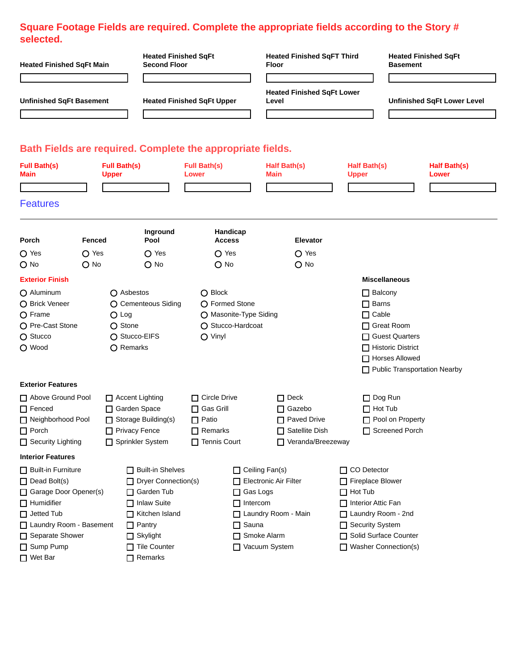#### **Square Footage Fields are required. Complete the appropriate fields according to the Story # selected.**

| <b>Heated Finished SqFt Main</b>                           |                         |                                     | <b>Heated Finished SqFt</b><br><b>Second Floor</b> |                                          |                                            | <b>Heated Finished SqFT Third</b><br>Floor |                                     | <b>Heated Finished SqFt</b><br><b>Basement</b> |                       |
|------------------------------------------------------------|-------------------------|-------------------------------------|----------------------------------------------------|------------------------------------------|--------------------------------------------|--------------------------------------------|-------------------------------------|------------------------------------------------|-----------------------|
| <b>Unfinished SqFt Basement</b>                            |                         | <b>Heated Finished SqFt Upper</b>   |                                                    |                                          | <b>Heated Finished SqFt Lower</b><br>Level |                                            | <b>Unfinished SqFt Lower Level</b>  |                                                |                       |
|                                                            |                         |                                     |                                                    |                                          |                                            |                                            |                                     |                                                |                       |
| Bath Fields are required. Complete the appropriate fields. |                         |                                     |                                                    |                                          |                                            |                                            |                                     |                                                |                       |
| <b>Full Bath(s)</b><br>Main                                |                         | <b>Full Bath(s)</b><br><b>Upper</b> |                                                    | <b>Full Bath(s)</b><br>Lower             |                                            | Half Bath(s)<br>Main                       | <b>Half Bath(s)</b><br><b>Upper</b> |                                                | Half Bath(s)<br>Lower |
| <b>Features</b>                                            |                         |                                     |                                                    |                                          |                                            |                                            |                                     |                                                |                       |
| Porch                                                      | Fenced                  |                                     | Inground<br>Pool                                   | Handicap<br><b>Access</b>                |                                            | <b>Elevator</b>                            |                                     |                                                |                       |
| $O$ Yes<br>$O$ No                                          | $O$ Yes<br>$\bigcap$ No |                                     | $\bigcirc$ Yes<br>$O$ No                           | $\bigcirc$ Yes<br>$O$ No                 |                                            | $\bigcirc$ Yes<br>$O$ No                   |                                     |                                                |                       |
|                                                            |                         |                                     |                                                    |                                          |                                            |                                            |                                     |                                                |                       |
| <b>Exterior Finish</b>                                     |                         |                                     |                                                    |                                          |                                            |                                            |                                     | <b>Miscellaneous</b>                           |                       |
| O Aluminum                                                 |                         | $\bigcap$ Asbestos                  |                                                    | $\bigcirc$ Block                         |                                            |                                            | $\Box$ Balcony                      |                                                |                       |
| O Brick Veneer<br>O Frame                                  |                         | $O$ Log                             | O Cementeous Siding                                | ○ Formed Stone<br>O Masonite-Type Siding |                                            |                                            | Barns<br>$\Box$ Cable               |                                                |                       |
| O Pre-Cast Stone                                           |                         | $\bigcirc$ Stone                    |                                                    | ○ Stucco-Hardcoat                        |                                            |                                            |                                     | □ Great Room                                   |                       |
| O Stucco                                                   |                         | ◯ Stucco-EIFS                       |                                                    | O Vinyl                                  |                                            |                                            |                                     | □ Guest Quarters                               |                       |
| O Wood                                                     |                         | ○ Remarks                           |                                                    |                                          |                                            |                                            |                                     | Historic District                              |                       |
|                                                            |                         |                                     |                                                    |                                          |                                            |                                            |                                     | Horses Allowed                                 |                       |
|                                                            |                         |                                     |                                                    |                                          |                                            |                                            |                                     | Public Transportation Nearby                   |                       |
| <b>Exterior Features</b>                                   |                         |                                     |                                                    |                                          |                                            |                                            |                                     |                                                |                       |
| Above Ground Pool                                          |                         | $\Box$ Accent Lighting              |                                                    | $\Box$ Circle Drive                      |                                            | $\Box$ Deck                                | $\Box$ Dog Run                      |                                                |                       |
| $\Box$ Fenced                                              |                         | Garden Space                        |                                                    | $\Box$ Gas Grill                         |                                            | □ Gazebo                                   | $\Box$ Hot Tub                      |                                                |                       |
| Neighborhood Pool                                          |                         | $\Box$ Storage Building(s)          |                                                    | $\Box$ Patio                             |                                            | $\Box$ Paved Drive                         |                                     | Pool on Property                               |                       |
| $\Box$ Porch                                               |                         | Privacy Fence                       |                                                    | $\Box$ Remarks                           |                                            | Satellite Dish                             |                                     | Screened Porch                                 |                       |
| □ Security Lighting                                        |                         | Sprinkler System                    |                                                    | $\Box$ Tennis Court                      |                                            | Veranda/Breezeway                          |                                     |                                                |                       |
| <b>Interior Features</b>                                   |                         |                                     |                                                    |                                          |                                            |                                            |                                     |                                                |                       |
| Built-in Furniture                                         |                         |                                     | Built-in Shelves                                   |                                          | $\Box$ Ceiling Fan(s)                      |                                            | □ CO Detector                       |                                                |                       |
| $\Box$ Dead Bolt(s)                                        |                         |                                     | □ Dryer Connection(s)                              |                                          |                                            | Electronic Air Filter                      | Fireplace Blower                    |                                                |                       |
| Garage Door Opener(s)                                      |                         |                                     | □ Garden Tub                                       |                                          | □ Gas Logs                                 |                                            | $\Box$ Hot Tub                      |                                                |                       |
| $\Box$ Humidifier                                          |                         |                                     | □ Inlaw Suite                                      |                                          | $\Box$ Intercom                            |                                            | □ Interior Attic Fan                |                                                |                       |
| $\Box$ Jetted Tub                                          |                         |                                     | Kitchen Island                                     |                                          |                                            | □ Laundry Room - Main                      | Laundry Room - 2nd                  |                                                |                       |
| Laundry Room - Basement                                    |                         |                                     | $\Box$ Pantry                                      |                                          | $\Box$ Sauna                               |                                            | Security System                     |                                                |                       |
| Separate Shower                                            |                         |                                     | Skylight                                           |                                          | Smoke Alarm                                |                                            | Solid Surface Counter               |                                                |                       |
| □ Sump Pump                                                |                         |                                     | □ Tile Counter                                     |                                          |                                            | Vacuum System                              | □ Washer Connection(s)              |                                                |                       |
| □ Wet Bar                                                  |                         |                                     | $\Box$ Remarks                                     |                                          |                                            |                                            |                                     |                                                |                       |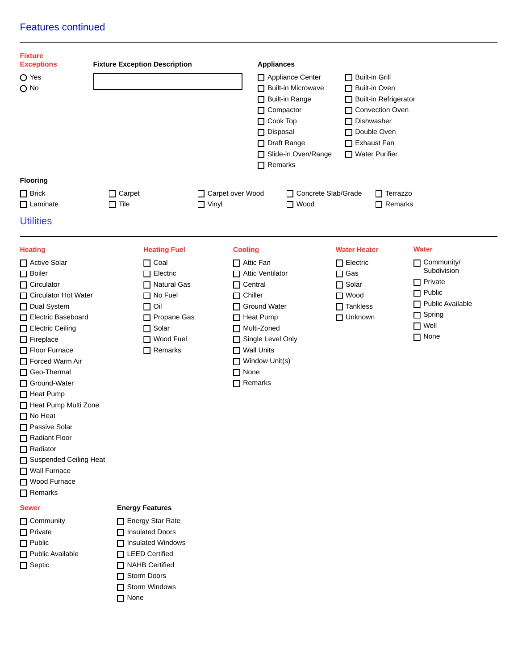#### Features continued

| <b>Fixture</b><br><b>Exceptions</b>                                                                                                                                                                                                                                                                                                                                                                                                                  | <b>Fixture Exception Description</b>                                                                                                                                        | <b>Appliances</b>                                                                                                                                                                                                                                     |                                                                                                                                                                                |                                                                                                                                                 |
|------------------------------------------------------------------------------------------------------------------------------------------------------------------------------------------------------------------------------------------------------------------------------------------------------------------------------------------------------------------------------------------------------------------------------------------------------|-----------------------------------------------------------------------------------------------------------------------------------------------------------------------------|-------------------------------------------------------------------------------------------------------------------------------------------------------------------------------------------------------------------------------------------------------|--------------------------------------------------------------------------------------------------------------------------------------------------------------------------------|-------------------------------------------------------------------------------------------------------------------------------------------------|
| O Yes<br>$O$ No                                                                                                                                                                                                                                                                                                                                                                                                                                      |                                                                                                                                                                             | $\Box$ Compactor<br>$\Box$ Cook Top<br>□ Disposal<br>□ Draft Range<br>$\Box$ Remarks                                                                                                                                                                  | Appliance Center<br>$\Box$ Built-in Grill<br>Built-in Microwave<br>□ Built-in Oven<br>Built-in Range<br>$\Box$ Dishwasher<br>Double Oven<br>Exhaust Fan<br>Slide-in Oven/Range | Built-in Refrigerator<br>□ Convection Oven<br>$\Box$ Water Purifier                                                                             |
| <b>Flooring</b>                                                                                                                                                                                                                                                                                                                                                                                                                                      |                                                                                                                                                                             |                                                                                                                                                                                                                                                       |                                                                                                                                                                                |                                                                                                                                                 |
| $\Box$ Brick<br>$\Box$ Laminate                                                                                                                                                                                                                                                                                                                                                                                                                      | $\Box$ Carpet<br>$\Box$ Tile                                                                                                                                                | □ Carpet over Wood<br>$\Box$ Vinyl                                                                                                                                                                                                                    | □ Concrete Slab/Grade<br>$\Box$ Wood                                                                                                                                           | $\Box$ Terrazzo<br>$\Box$ Remarks                                                                                                               |
| <b>Utilities</b>                                                                                                                                                                                                                                                                                                                                                                                                                                     |                                                                                                                                                                             |                                                                                                                                                                                                                                                       |                                                                                                                                                                                |                                                                                                                                                 |
| <b>Heating</b><br>□ Active Solar<br>$\Box$ Boiler<br>$\Box$ Circulator<br>□ Circulator Hot Water<br>Dual System<br>Electric Baseboard<br>Electric Ceiling<br>$\Box$ Fireplace<br>Floor Furnace<br>Forced Warm Air<br>□ Geo-Thermal<br>Ground-Water<br>$\Box$ Heat Pump<br>Heat Pump Multi Zone<br>□ No Heat<br>□ Passive Solar<br>Radiant Floor<br>$\Box$ Radiator<br>□ Suspended Ceiling Heat<br>□ Wall Furnace<br>□ Wood Furnace<br>$\Box$ Remarks | <b>Heating Fuel</b><br>$\Box$ Coal<br>$\Box$ Electric<br>□ Natural Gas<br>$\Box$ No Fuel<br>$\Box$ Oil<br>Propane Gas<br>$\Box$ Solar<br>□ Wood Fuel<br>$\Box$ Remarks      | <b>Cooling</b><br>$\Box$ Attic Fan<br>Attic Ventilator<br>$\Box$ Central<br>$\Box$ Chiller<br>□ Ground Water<br>$\Box$ Heat Pump<br>□ Multi-Zoned<br>Single Level Only<br>$\Box$ Wall Units<br>$\Box$ Window Unit(s)<br>$\Box$ None<br>$\Box$ Remarks | <b>Water Heater</b><br>$\Box$ Electric<br>$\Box$ Gas<br>$\Box$ Solar<br>$\Box$ Wood<br>$\Box$ Tankless<br>$\Box$ Unknown                                                       | <b>Water</b><br>Community/<br>Subdivision<br>$\Box$ Private<br>$\Box$ Public<br>Public Available<br>$\Box$ Spring<br>$\Box$ Well<br>$\Box$ None |
| <b>Sewer</b><br>$\Box$ Community<br>$\Box$ Private<br>$\Box$ Public<br>Public Available<br>$\Box$ Septic                                                                                                                                                                                                                                                                                                                                             | <b>Energy Features</b><br>Energy Star Rate<br>□ Insulated Doors<br>□ Insulated Windows<br>□ LEED Certified<br>NAHB Certified<br>Storm Doors<br>Storm Windows<br>$\Box$ None |                                                                                                                                                                                                                                                       |                                                                                                                                                                                |                                                                                                                                                 |